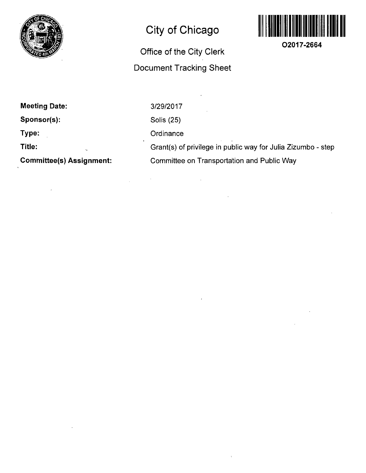

## **City of Chicago**

## **Office of the City Clerk Document Tracking Sheet**



**O2017-2664** 

| <b>Meeting Date:</b> |    |
|----------------------|----|
| Sponsor(s):          |    |
| Type:                |    |
| Title:               | ٠. |

**Committee(s) Assignment:** 

3/29/2017 Solis (25) **Ordinance** Grant(s) of privilege in public way for Julia Zizumbo - step Committee on Transportation and Public Way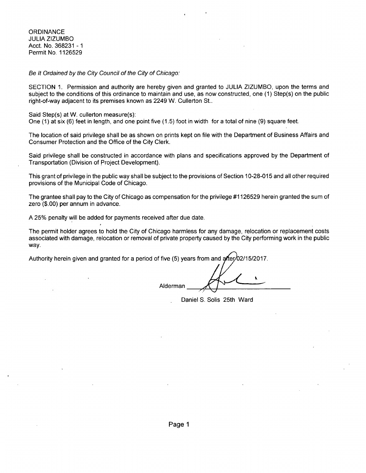**ORDINANCE** JULIA ZIZUMBO Acct. No. 368231 -1 Permit No. 1126529

Be It Ordained by the City Council of the City of Chicago:

SECTION 1. Permission and authority are hereby given and granted to JULIA ZIZUMBO, upon the terms and subject to the conditions of this ordinance to maintain and use, as now constructed, one (1) Step(s) on the public right-of-way adjacent to its premises known as 2249 W. Cullerton St..

Said Step(s) at W. cullerton measure(s):

One (1) at six (6) feet in length, and one point five (1.5) foot in width for a total of nine (9) square feet.

The location of said privilege shall be as shown on prints kept on file with the Department of Business Affairs and Consumer Protection and the Office of the City Clerk.

Said privilege shall be constructed in accordance with plans and specifications approved by the Department of Transportation (Division of Project Development).

This grant of privilege in the public way shall be subject to the provisions of Section 10-28-015 and all other required provisions of the Municipal Code of Chicago.

The grantee shall pay to the City of Chicago as compensation for the privilege #1126529 herein granted the sum of zero (\$.00) per annum in advance.

A 25% penalty will be added for payments received after due date.

The permit holder agrees to hold the City of Chicago harmless for any damage, relocation or replacement costs associated with damage, relocation or removal of private property caused by the City performing work in the public way.

Authority herein given and granted for a period of five  $(5)$  years from and after/02/15/2017.

Alderman *—r* 

Daniel S. Solis 25th Ward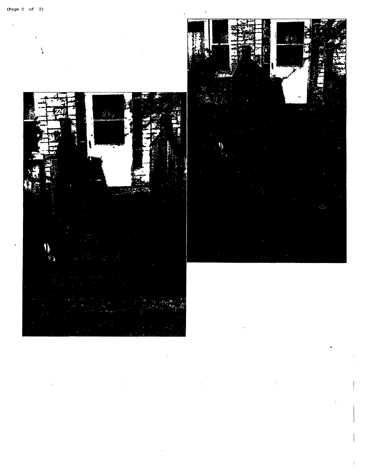